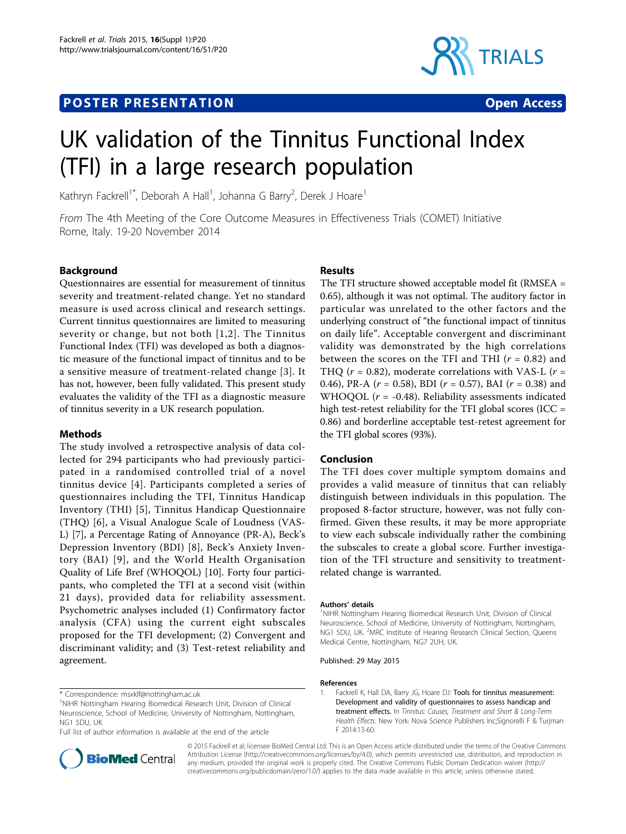# **POSTER PRESENTATION CONSUMING ACCESS**



# UK validation of the Tinnitus Functional Index (TFI) in a large research population

Kathryn Fackrell<sup>1\*</sup>, Deborah A Hall<sup>1</sup>, Johanna G Barry<sup>2</sup>, Derek J Hoare<sup>1</sup>

From The 4th Meeting of the Core Outcome Measures in Effectiveness Trials (COMET) Initiative Rome, Italy. 19-20 November 2014

## Background

Questionnaires are essential for measurement of tinnitus severity and treatment-related change. Yet no standard measure is used across clinical and research settings. Current tinnitus questionnaires are limited to measuring severity or change, but not both [1,[2](#page-1-0)]. The Tinnitus Functional Index (TFI) was developed as both a diagnostic measure of the functional impact of tinnitus and to be a sensitive measure of treatment-related change [[3\]](#page-1-0). It has not, however, been fully validated. This present study evaluates the validity of the TFI as a diagnostic measure of tinnitus severity in a UK research population.

### Methods

The study involved a retrospective analysis of data collected for 294 participants who had previously participated in a randomised controlled trial of a novel tinnitus device [[4](#page-1-0)]. Participants completed a series of questionnaires including the TFI, Tinnitus Handicap Inventory (THI) [[5\]](#page-1-0), Tinnitus Handicap Questionnaire (THQ) [[6\]](#page-1-0), a Visual Analogue Scale of Loudness (VAS-L) [[7\]](#page-1-0), a Percentage Rating of Annoyance (PR-A), Beck's Depression Inventory (BDI) [\[8\]](#page-1-0), Beck's Anxiety Inventory (BAI) [[9\]](#page-1-0), and the World Health Organisation Quality of Life Bref (WHOQOL) [\[10\]](#page-1-0). Forty four participants, who completed the TFI at a second visit (within 21 days), provided data for reliability assessment. Psychometric analyses included (1) Confirmatory factor analysis (CFA) using the current eight subscales proposed for the TFI development; (2) Convergent and discriminant validity; and (3) Test-retest reliability and agreement.

# \* Correspondence: [msxklf@nottingham.ac.uk](mailto:msxklf@nottingham.ac.uk)



The TFI structure showed acceptable model fit (RMSEA = 0.65), although it was not optimal. The auditory factor in particular was unrelated to the other factors and the underlying construct of "the functional impact of tinnitus on daily life". Acceptable convergent and discriminant validity was demonstrated by the high correlations between the scores on the TFI and THI  $(r = 0.82)$  and THQ ( $r = 0.82$ ), moderate correlations with VAS-L ( $r =$ 0.46), PR-A ( $r = 0.58$ ), BDI ( $r = 0.57$ ), BAI ( $r = 0.38$ ) and WHOQOL ( $r = -0.48$ ). Reliability assessments indicated high test-retest reliability for the TFI global scores (ICC = 0.86) and borderline acceptable test-retest agreement for the TFI global scores (93%).

#### Conclusion

The TFI does cover multiple symptom domains and provides a valid measure of tinnitus that can reliably distinguish between individuals in this population. The proposed 8-factor structure, however, was not fully confirmed. Given these results, it may be more appropriate to view each subscale individually rather the combining the subscales to create a global score. Further investigation of the TFI structure and sensitivity to treatmentrelated change is warranted.

#### Authors' details <sup>1</sup>

<sup>1</sup>NIHR Nottingham Hearing Biomedical Research Unit, Division of Clinical Neuroscience, School of Medicine, University of Nottingham, Nottingham, NG1 5DU, UK. <sup>2</sup>MRC Institute of Hearing Research Clinical Section, Queens Medical Centre, Nottingham, NG7 2UH, UK.

Published: 29 May 2015

#### References

1. Fackrell K, Hall DA, Barry JG, Hoare DJ: Tools for tinnitus measurement: Development and validity of questionnaires to assess handicap and treatment effects. In Tinnitus: Causes, Treatment and Short & Long-Term Health Effects. New York: Nova Science Publishers Inc;Signorelli F & Turjman F 2014:13-60.



© 2015 Fackrell et al; licensee BioMed Central Ltd. This is an Open Access article distributed under the terms of the Creative Commons Attribution License [\(http://creativecommons.org/licenses/by/4.0](http://creativecommons.org/licenses/by/4.0)), which permits unrestricted use, distribution, and reproduction in any medium, provided the original work is properly cited. The Creative Commons Public Domain Dedication waiver [\(http://](http://creativecommons.org/publicdomain/zero/1.0/) [creativecommons.org/publicdomain/zero/1.0/](http://creativecommons.org/publicdomain/zero/1.0/)) applies to the data made available in this article, unless otherwise stated.

<sup>&</sup>lt;sup>1</sup>NIHR Nottingham Hearing Biomedical Research Unit, Division of Clinical Neuroscience, School of Medicine, University of Nottingham, Nottingham, NG1 5DU, UK

Full list of author information is available at the end of the article